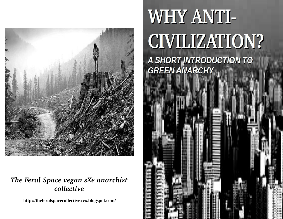

## *The Feral Space vegan sXe anarchist collective*

**http://theferalspacecollectivexvx.blogspot.com/**

## **WHY ANTI-CIVILIZATION?** A SHORT INTRODUCTION TO **GREEN ANARCHY**

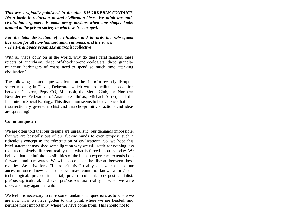*This was originally published in the zine DISORDERLY CONDUCT. It's a basic introduction to anti-civilization ideas. We think the anticivilization argument is made pretty obvious when one simply looks around at the prison society in which we're encaged.*

## *For the total destruction of civilization and towards the subsequent liberation for all non-human/human animals, and the earth! - The Feral Space vegan sXe anarchist collective*

With all that's goin' on in the world, why do these feral fanatics, these rejects of anarchism, these off-the-deep-end ecologists, these granolamunchin' harbingers of chaos need to spend so much time attacking civilization?

The following communiqué was found at the site of a recently disrupted secret meeting in Dover, Delaware, which was to facilitate a coalition between Chevron, Pepsi-CO, Microsoft, the Sierra Club, the Northern New Jersey Federation of Anarcho-Stalinists, Michael Albert, and the Institute for Social Ecology. This disruption seems to be evidence that insurrectionary green-anarchist and anarcho-primitivist actions and ideas are spreading!

## **Communique # 23**

We are often told that our dreams are unrealistic, our demands impossible, that we are basically out of our fuckin' minds to even propose such a ridiculous concept as the "destruction of civilization". So, we hope this brief statement may shed some light on why we will settle for nothing less then a completely different reality then what is forced upon us today. We believe that the infinite possibilities of the human experience extends both forwards and backwards. We wish to collapse the discord between these realities. We strive for a "future-primitive" reality, one which all of our ancestors once knew, and one we may come to know: a pre/posttechnological, pre/post-industrial, pre/post-colonial, pre/ post-capitalist, pre/post-agricultural, and even pre/post-cultural reality — when we were once, and may again be, wild!

We feel it is necessary to raise some fundamental questions as to where we are now, how we have gotten to this point, where we are headed, and perhaps most importantly, where we have come from. This should not to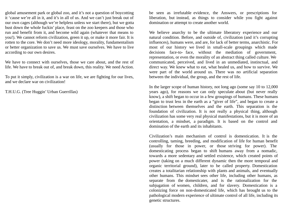global amusement park or global zoo, and it's not a question of boycotting it 'cause we're all in it, and it's in all of us. And we can't just break out of our own cages (although we're helpless unless we start there), but we gotta bust down the whole fuckin' place, feast on the zoo keepers and those who run and benefit from it, and become wild again (whatever that means to you!). We cannot reform civilization, green it up, or make it more fair. It is rotten to the core. We don't need more ideology, morality, fundamentalism or better organization to save us. We must save ourselves. We have to live according to our own desires.

We have to connect with ourselves, those we care about, and the rest of life. We have to break out of, and break down, this reality. We need Action.

To put it simply, civilization is a war on life, we are fighting for our lives, and we declare war on civilization!

T.H.U.G. (Tree Huggin' Urban Guerrillas)

be seen as irrefutable evidence, the Answers, or prescriptions for liberation, but instead, as things to consider while you fight against domination or attempt to create another world.

We believe anarchy to be the ultimate liberatory experience and our natural condition. Before, and outside of, civilization (and it's corrupting influences), humans were, and are, for lack of better terms, anarchistic. For most of our history we lived in small-scale groupings which made decisions face-to- face, without the mediation of government, representation, or even the morality of an abstract thing called culture. We communicated, perceived, and lived in an unmediated, instinctual, and direct way. We knew what to eat, what healed us, and how to survive. We were part of the world around us. There was no artificial separation between the individual, the group, and the rest of life.

In the larger scope of human history, not long ago (some say 10 to 12,000 years ago), for reasons we can only speculate about (but never really know), a shift began to occur in a few groupings of humans. These humans began to trust less in the earth as a "giver of life", and began to create a distinction between themselves and the earth. This separation is the foundation of civilization. It is not really a physical thing, although civilization has some very real physical manifestations, but it is more of an orientation, a mindset, a paradigm. It is based on the control and domination of the earth and its inhabitants.

Civilization's main mechanism of control is domestication. It is the controlling, taming, breeding, and modification of life for human benefit (usually for those in power, or those striving for power). The domesticating process began to shift humans away from a nomadic, towards a more sedentary and settled existence, which created points of power (taking on a much different dynamic then the more temporal and organic territorial ground), later to be called property. Domestication creates a totalitarian relationship with plants and animals, and eventually other humans. This mindset sees other life, including other humans, as separate from the domesticater, and is the rationalization for the subjugation of women, children, and for slavery. Domestication is a colonizing force on non-domesticated life, which has brought us to the pathological modern experience of ultimate control of all life, including its genetic structures.